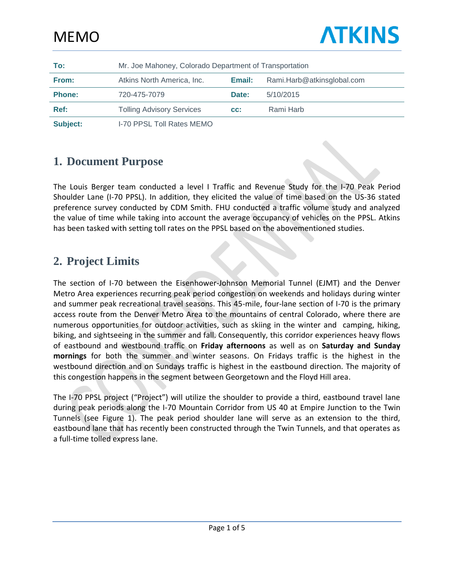| To:           | Mr. Joe Mahoney, Colorado Department of Transportation |        |                            |  |  |
|---------------|--------------------------------------------------------|--------|----------------------------|--|--|
| From:         | Atkins North America, Inc.                             | Email: | Rami.Harb@atkinsglobal.com |  |  |
| <b>Phone:</b> | 720-475-7079                                           | Date:  | 5/10/2015                  |  |  |
| Ref:          | <b>Tolling Advisory Services</b>                       | CC:    | Rami Harb                  |  |  |
| Subject:      | <b>I-70 PPSL Toll Rates MEMO</b>                       |        |                            |  |  |

### **1. Document Purpose**

The Louis Berger team conducted a level I Traffic and Revenue Study for the I-70 Peak Period Shoulder Lane (I-70 PPSL). In addition, they elicited the value of time based on the US-36 stated preference survey conducted by CDM Smith. FHU conducted a traffic volume study and analyzed the value of time while taking into account the average occupancy of vehicles on the PPSL. Atkins has been tasked with setting toll rates on the PPSL based on the abovementioned studies.

### **2. Project Limits**

The section of I-70 between the Eisenhower-Johnson Memorial Tunnel (EJMT) and the Denver Metro Area experiences recurring peak period congestion on weekends and holidays during winter and summer peak recreational travel seasons. This 45-mile, four-lane section of I-70 is the primary access route from the Denver Metro Area to the mountains of central Colorado, where there are numerous opportunities for outdoor activities, such as skiing in the winter and camping, hiking, biking, and sightseeing in the summer and fall. Consequently, this corridor experiences heavy flows of eastbound and westbound traffic on **Friday afternoons** as well as on **Saturday and Sunday mornings** for both the summer and winter seasons. On Fridays traffic is the highest in the westbound direction and on Sundays traffic is highest in the eastbound direction. The majority of this congestion happens in the segment between Georgetown and the Floyd Hill area.

The I-70 PPSL project ("Project") will utilize the shoulder to provide a third, eastbound travel lane during peak periods along the I-70 Mountain Corridor from US 40 at Empire Junction to the Twin Tunnels (see Figure 1). The peak period shoulder lane will serve as an extension to the third, eastbound lane that has recently been constructed through the Twin Tunnels, and that operates as a full-time tolled express lane.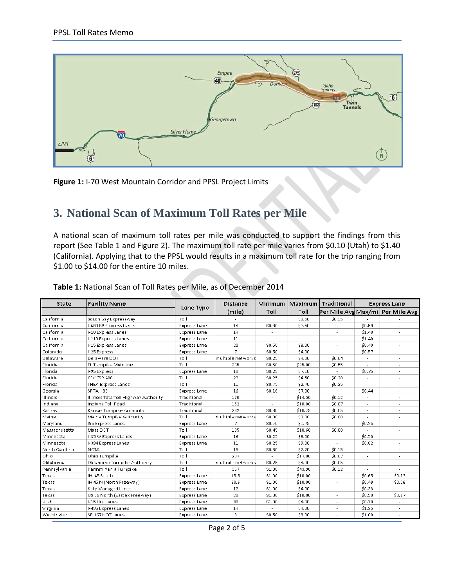

**Figure 1:** I-70 West Mountain Corridor and PPSL Project Limits

## **3. National Scan of Maximum Toll Rates per Mile**

A national scan of maximum toll rates per mile was conducted to support the findings from this report (See Table 1 and Figure 2). The maximum toll rate per mile varies from \$0.10 (Utah) to \$1.40 (California). Applying that to the PPSL would results in a maximum toll rate for the trip ranging from \$1.00 to \$14.00 for the entire 10 miles.

| State          | <b>Facility Name</b>                 |                     | <b>Distance</b>   | Minimum | Maximum | Traditional              | <b>Express Lane</b>      |                                    |
|----------------|--------------------------------------|---------------------|-------------------|---------|---------|--------------------------|--------------------------|------------------------------------|
|                |                                      | Lane Type           | (mile)            | Toll    | Toll    |                          |                          | Per Mile Avg Max/mi   Per Mile Avg |
| California     | South Bay Expressway                 | Toll                |                   |         | \$3.50  | \$0.35                   |                          |                                    |
| California     | I-680 SB Express Lanes               | <b>Express Lane</b> | 14                | \$0.30  | \$7.50  |                          | \$0.54                   |                                    |
| California     | I-10 Express Lanes                   | Express Lane        | 14                |         |         |                          | \$1.40                   |                                    |
| California     | I-110 Express Lanes                  | <b>Express Lane</b> | 11                | $\sim$  |         | ÷,                       | \$1.40                   | $\sim$                             |
| California     | I-15 Express Lanes                   | <b>Express Lane</b> | 20                | \$0.50  | \$8.00  |                          | \$0.40                   |                                    |
| Colorado       | I-25 Express                         | Express Lane        | 7                 | \$0.50  | \$4.00  |                          | \$0.57                   |                                    |
| Delaware       | Delaware DOT                         | Toll                | multiple networks | \$0.25  | \$4.00  | \$0.04                   |                          |                                    |
| Florida        | FL Turnpike Mainline                 | Toll                | 265               | \$0.50  | \$25.00 | \$0.55                   |                          |                                    |
| Florida        | I-95 Express                         | <b>Express Lane</b> | 10                | \$0.25  | \$7.10  | ×,                       | \$0.75                   | $\sim$                             |
| Florida        | CFX "SR 408"                         | Toll                | 22                | \$0.25  | \$4.50  | \$0.20                   | $\overline{a}$           |                                    |
| Florida        | <b>THEA Express Lanes</b>            | Toll                | 11                | \$0.75  | \$2.70  | \$0.25                   |                          |                                    |
| Georgia        | SRTA I-85                            | Express Lane        | 16                | \$0.16  | \$7.00  |                          | \$0.44                   |                                    |
| Illinois       | Illinois Tata Toll Highway Authority | Traditional         | 120               |         | \$14.50 | \$0.12                   |                          |                                    |
| Indiana        | Indiana Toll Road                    | Traditional         | 152               |         | \$10.00 | \$0.07                   | $\overline{\phantom{a}}$ |                                    |
| Kansas         | Kansas Turnpike Authority            | Traditional         | 232               | \$0.30  | \$10.75 | \$0.05                   | ÷,                       |                                    |
| Maine          | Maine Turnpike Authority             | Toll                | multiple networks | \$0.00  | \$3.00  | \$0.08                   |                          |                                    |
| Maryland       | 195 Express Lanes                    | Express Lane        | 7                 | \$0.70  | \$1.75  |                          | \$0.25                   |                                    |
| Massachusetts  | Mass DOT                             | Toll                | 135               | \$0.45  | \$10.60 | \$0.08                   |                          | $\sim$                             |
| Minnesota      | I-35 W Express Lanes                 | Express Lane        | 16                | \$0.25  | \$8.00  | ÷,                       | \$0.50                   | $\sim$                             |
| Minnesota      | I-394 Express Lanes                  | <b>Express Lane</b> | 11                | \$0.25  | \$9.00  |                          | \$0.82                   |                                    |
| North Carolina | <b>NCTA</b>                          | Toll                | 15                | \$0.30  | \$2.20  | \$0.15                   | $\overline{a}$           |                                    |
| Ohio           | Ohio Turnpike                        | Toll                | 237               |         | \$17.00 | \$0.07                   |                          |                                    |
| Oklahoma       | Oklahoma Turnpike Authority          | Toll                | multiple networks | \$0.25  | \$4.00  | \$0.05                   | $\overline{\phantom{a}}$ | $\blacksquare$                     |
| Pennsylvania   | Pennsylvania Turnpike                | Toll                | 357               | \$1.00  | \$43.90 | \$0.12                   | ÷,                       |                                    |
| Texas          | IH 45 South                          | Express Lane        | 15.5              | \$1.00  | \$10.00 |                          | \$0.65                   | \$0.12                             |
| Texas          | IH 45 N (North Freeway)              | <b>Express Lane</b> | 20.6              | \$1.00  | \$10.00 | ٠                        | \$0.49                   | \$0.06                             |
| Texas          | Katy Managed Lanes                   | <b>Express Lane</b> | 12                | \$1.00  | \$4.00  | ٠                        | \$0.33                   |                                    |
| Texas          | US 59 North (Eastex Freeway)         | Express Lane        | 20                | \$1.00  | \$10.00 | $\overline{\phantom{a}}$ | \$0.50                   | \$0.17                             |
| Utah           | I-15 Hot Lanes                       | <b>Express Lane</b> | 40                | \$1.00  | \$4.00  | ٠                        | \$0.10                   |                                    |
| Virginia       | I-495 Express Lanes                  | Express Lane        | 14                |         | \$4.80  |                          | \$1.25                   |                                    |
| Washington     | SR 167 HOT Lanes                     | <b>Express Lane</b> | 9                 | \$0.50  | \$9.00  |                          | \$1.00                   |                                    |

#### **Table 1:** National Scan of Toll Rates per Mile, as of December 2014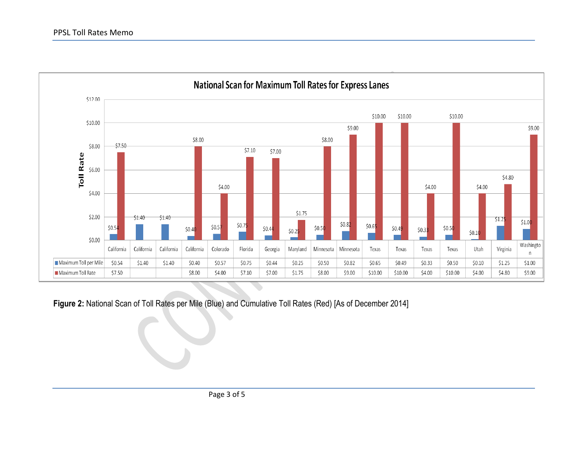#### PPSL Toll Rates Memo



**Figure 2:** National Scan of Toll Rates per Mile (Blue) and Cumulative Toll Rates (Red) [As of December 2014]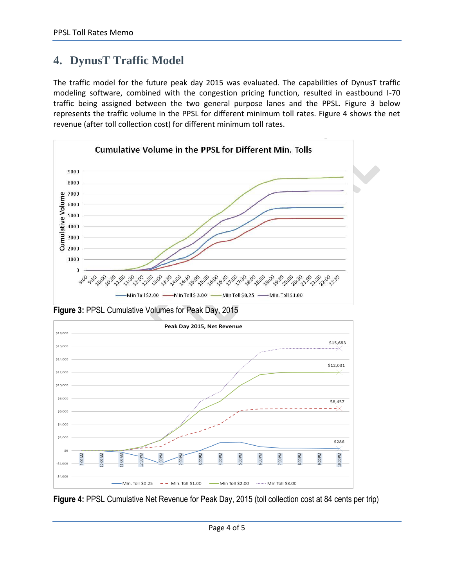# **4. DynusT Traffic Model**

The traffic model for the future peak day 2015 was evaluated. The capabilities of DynusT traffic modeling software, combined with the congestion pricing function, resulted in eastbound I-70 traffic being assigned between the two general purpose lanes and the PPSL. Figure 3 below represents the traffic volume in the PPSL for different minimum toll rates. Figure 4 shows the net revenue (after toll collection cost) for different minimum toll rates.

![](_page_3_Figure_3.jpeg)

**Figure 3:** PPSL Cumulative Volumes for Peak Day, 2015

![](_page_3_Figure_5.jpeg)

**Figure 4:** PPSL Cumulative Net Revenue for Peak Day, 2015 (toll collection cost at 84 cents per trip)